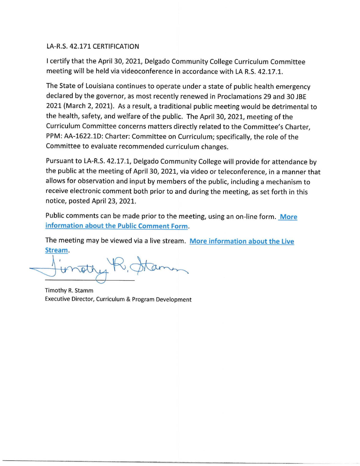# LA-R.S. 42.171 CERTIFICATION

I certify that the April 30, 2021, Delgado Community College Curriculum Committee meeting will be held via videoconference in accordance with LA R.S. 42.17.1.

The State of Louisiana continues to operate under a state of public health emergency declared by the governor, as most recently renewed in Proclamations 29 and 30 JBE 2021 (March 2, 2021). As a result, a traditional public meeting would be detrimental to the health, safety, and welfare of the public. The April 30, 2021, meeting of the Curriculum Committee concerns matters directly related to the Committee's Charter, PPM: AA-1622.lD: Charter: Committee on Curriculum; specifically, the role of the Committee to evaluate recommended curriculum changes.

Pursuant to LA-R.S. 42.17.1, Delgado Community College will provide for attendance by the public at the meeting of April 30, 2021, via video or teleconference, in a manner that allows for observation and input by members of the public, including a mechanism to receive electronic comment both prior to and during the meeting, as set forth in this notice, posted April 23, 2021.

Public comments can be made prior to the meeting, using an on-line form. **More information about the Public Comment Form.** 

The meeting may be viewed via a live stream. **More information about the Live Stream.** 

 $\overrightarrow{u}$ mation about the rabile comment rom.<br>meeting may be viewed via a live stream. More information<br>am.<br>wrightly R, Ataman

Timothy R. Stamm Executive Director, Curriculum & Program Development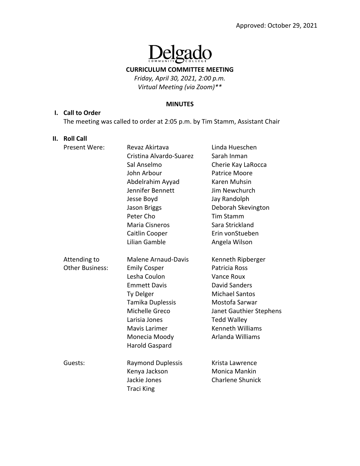# elgado  $\prod_{\text{com}}$

### **CURRICULUM COMMITTEE MEETING**

*Friday, April 30, 2021, 2:00 p.m. Virtual Meeting (via Zoom)\*\**

#### **MINUTES**

#### **I. Call to Order**

The meeting was called to order at 2:05 p.m. by Tim Stamm, Assistant Chair

#### **II. Roll Call**

| Present Were:          | Revaz Akirtava             | Linda Hueschen          |
|------------------------|----------------------------|-------------------------|
|                        | Cristina Alvardo-Suarez    | Sarah Inman             |
|                        | Sal Anselmo                | Cherie Kay LaRocca      |
|                        | John Arbour                | <b>Patrice Moore</b>    |
|                        | Abdelrahim Ayyad           | Karen Muhsin            |
|                        | Jennifer Bennett           | Jim Newchurch           |
|                        | Jesse Boyd                 | Jay Randolph            |
|                        | Jason Briggs               | Deborah Skevington      |
|                        | Peter Cho                  | Tim Stamm               |
|                        | Maria Cisneros             | Sara Strickland         |
|                        | Caitlin Cooper             | Erin vonStueben         |
|                        | Lilian Gamble              | Angela Wilson           |
|                        |                            |                         |
| Attending to           | <b>Malene Arnaud-Davis</b> | Kenneth Ripberger       |
| <b>Other Business:</b> | <b>Emily Cosper</b>        | Patricia Ross           |
|                        | Lesha Coulon               | Vance Roux              |
|                        | <b>Emmett Davis</b>        | <b>David Sanders</b>    |
|                        | Ty Delger                  | <b>Michael Santos</b>   |
|                        | Tamika Duplessis           | Mostofa Sarwar          |
|                        | Michelle Greco             | Janet Gauthier Stephens |
|                        | Larisia Jones              | <b>Tedd Walley</b>      |
|                        | Mavis Larimer              | Kenneth Williams        |
|                        | Monecia Moody              | Arlanda Williams        |
|                        | Harold Gaspard             |                         |
| Guests:                | <b>Raymond Duplessis</b>   | Krista Lawrence         |
|                        | Kenya Jackson              | Monica Mankin           |
|                        | Jackie Jones               | <b>Charlene Shunick</b> |
|                        | <b>Traci King</b>          |                         |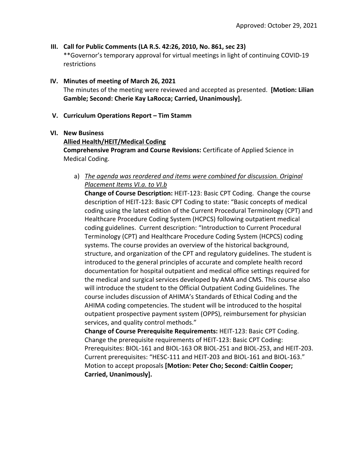### **III. Call for Public Comments (LA R.S. 42:26, 2010, No. 861, sec 23)**

\*\*Governor's temporary approval for virtual meetings in light of continuing COVID‐19 restrictions

#### **IV. Minutes of meeting of March 26, 2021**

The minutes of the meeting were reviewed and accepted as presented. **[Motion: Lilian Gamble; Second: Cherie Kay LaRocca; Carried, Unanimously].**

#### **V. Curriculum Operations Report – Tim Stamm**

#### **VI. New Business**

### **Allied Health/HEIT/Medical Coding**

**Comprehensive Program and Course Revisions:** Certificate of Applied Science in Medical Coding.

# a) *The agenda was reordered and items were combined for discussion. Original Placement Items VI.a. to VI.b*

**Change of Course Description:** HEIT‐123: Basic CPT Coding. Change the course description of HEIT‐123: Basic CPT Coding to state: "Basic concepts of medical coding using the latest edition of the Current Procedural Terminology (CPT) and Healthcare Procedure Coding System (HCPCS) following outpatient medical coding guidelines. Current description: "Introduction to Current Procedural Terminology (CPT) and Healthcare Procedure Coding System (HCPCS) coding systems. The course provides an overview of the historical background, structure, and organization of the CPT and regulatory guidelines. The student is introduced to the general principles of accurate and complete health record documentation for hospital outpatient and medical office settings required for the medical and surgical services developed by AMA and CMS. This course also will introduce the student to the Official Outpatient Coding Guidelines. The course includes discussion of AHIMA's Standards of Ethical Coding and the AHIMA coding competencies. The student will be introduced to the hospital outpatient prospective payment system (OPPS), reimbursement for physician services, and quality control methods."

**Change of Course Prerequisite Requirements:** HEIT‐123: Basic CPT Coding. Change the prerequisite requirements of HEIT‐123: Basic CPT Coding: Prerequisites: BIOL‐161 and BIOL‐163 OR BIOL‐251 and BIOL‐253, and HEIT‐203. Current prerequisites: "HESC‐111 and HEIT‐203 and BIOL‐161 and BIOL‐163." Motion to accept proposals **[Motion: Peter Cho; Second: Caitlin Cooper; Carried, Unanimously].**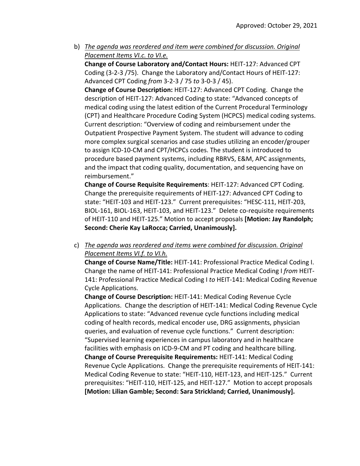b) *The agenda was reordered and item were combined for discussion. Original Placement Items VI.c. to VI.e.* 

**Change of Course Laboratory and/Contact Hours:** HEIT‐127: Advanced CPT Coding (3‐2‐3 /75). Change the Laboratory and/Contact Hours of HEIT‐127: Advanced CPT Coding *from* 3‐2‐3 / 75 *to* 3‐0‐3 / 45).

**Change of Course Description:** HEIT‐127: Advanced CPT Coding. Change the description of HEIT‐127: Advanced Coding to state: "Advanced concepts of medical coding using the latest edition of the Current Procedural Terminology (CPT) and Healthcare Procedure Coding System (HCPCS) medical coding systems. Current description: "Overview of coding and reimbursement under the Outpatient Prospective Payment System. The student will advance to coding more complex surgical scenarios and case studies utilizing an encoder/grouper to assign ICD‐10‐CM and CPT/HCPCs codes. The student is introduced to procedure based payment systems, including RBRVS, E&M, APC assignments, and the impact that coding quality, documentation, and sequencing have on reimbursement."

**Change of Course Requisite Requirements**: HEIT‐127: Advanced CPT Coding. Change the prerequisite requirements of HEIT‐127: Advanced CPT Coding to state: "HEIT‐103 and HEIT‐123." Current prerequisites: "HESC‐111, HEIT‐203, BIOL-161, BIOL-163, HEIT-103, and HEIT-123." Delete co-requisite requirements of HEIT‐110 and HEIT‐125." Motion to accept proposals **[Motion: Jay Randolph; Second: Cherie Kay LaRocca; Carried, Unanimously].**

c) *The agenda was reordered and items were combined for discussion. Original Placement Items VI.f. to VI.h.* 

**Change of Course Name/Title:** HEIT‐141: Professional Practice Medical Coding I. Change the name of HEIT‐141: Professional Practice Medical Coding I *from* HEIT‐ 141: Professional Practice Medical Coding I *to* HEIT‐141: Medical Coding Revenue Cycle Applications.

**Change of Course Description:** HEIT‐141: Medical Coding Revenue Cycle Applications. Change the description of HEIT‐141: Medical Coding Revenue Cycle Applications to state: "Advanced revenue cycle functions including medical coding of health records, medical encoder use, DRG assignments, physician queries, and evaluation of revenue cycle functions." Current description: "Supervised learning experiences in campus laboratory and in healthcare facilities with emphasis on ICD‐9‐CM and PT coding and healthcare billing. **Change of Course Prerequisite Requirements:** HEIT‐141: Medical Coding Revenue Cycle Applications. Change the prerequisite requirements of HEIT‐141: Medical Coding Revenue to state: "HEIT‐110, HEIT‐123, and HEIT‐125." Current prerequisites: "HEIT‐110, HEIT‐125, and HEIT‐127." Motion to accept proposals **[Motion: Lilian Gamble; Second: Sara Strickland; Carried, Unanimously].**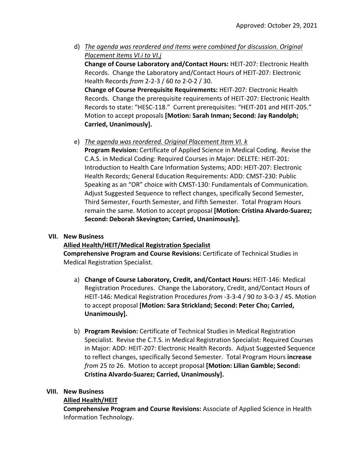d) *The agenda was reordered and items were combined for discussion. Original Placement Items VI.i to VI.j*

**Change of Course Laboratory and/Contact Hours:** HEIT‐207: Electronic Health Records. Change the Laboratory and/Contact Hours of HEIT‐207: Electronic Health Records *from* 2‐2‐3 / 60 *to* 2‐0‐2 / 30.

**Change of Course Prerequisite Requirements:** HEIT‐207: Electronic Health Records. Change the prerequisite requirements of HEIT‐207: Electronic Health Records to state: "HESC‐118." Current prerequisites: "HEIT‐201 and HEIT‐205." Motion to accept proposals **[Motion: Sarah Inman; Second: Jay Randolph; Carried, Unanimously].**

# e) *The agenda was reordered. Original Placement Item VI. k*

**Program Revision:** Certificate of Applied Science in Medical Coding. Revise the C.A.S. in Medical Coding: Required Courses in Major: DELETE: HEIT‐201: Introduction to Health Care Information Systems; ADD: HEIT‐207: Electronic Health Records; General Education Requirements: ADD: CMST‐230: Public Speaking as an "OR" choice with CMST‐130: Fundamentals of Communication. Adjust Suggested Sequence to reflect changes, specifically Second Semester, Third Semester, Fourth Semester, and Fifth Semester. Total Program Hours remain the same. Motion to accept proposal **[Motion: Cristina Alvardo‐Suarez; Second: Deborah Skevington; Carried, Unanimously].**

### **VII. New Business**

# **Allied Health/HEIT/Medical Registration Specialist**

**Comprehensive Program and Course Revisions:** Certificate of Technical Studies in Medical Registration Specialist.

- a) **Change of Course Laboratory, Credit, and/Contact Hours:** HEIT‐146: Medical Registration Procedures. Change the Laboratory, Credit, and/Contact Hours of HEIT‐146: Medical Registration Procedures *from* ‐3‐3‐4 / 90 *to* 3‐0‐3 / 45. Motion to accept proposal **[Motion: Sara Strickland; Second: Peter Cho; Carried, Unanimously].**
- b) **Program Revision:** Certificate of Technical Studies in Medical Registration Specialist. Revise the C.T.S. in Medical Registration Specialist: Required Courses in Major: ADD: HEIT‐207: Electronic Health Records. Adjust Suggested Sequence to reflect changes, specifically Second Semester. Total Program Hours **increase** *from* 25 *to* 26. Motion to accept proposal **[Motion: Lilian Gamble; Second: Cristina Alvardo‐Suarez; Carried, Unanimously].**

### **VIII. New Business**

### **Allied Health/HEIT**

**Comprehensive Program and Course Revisions:** Associate of Applied Science in Health Information Technology.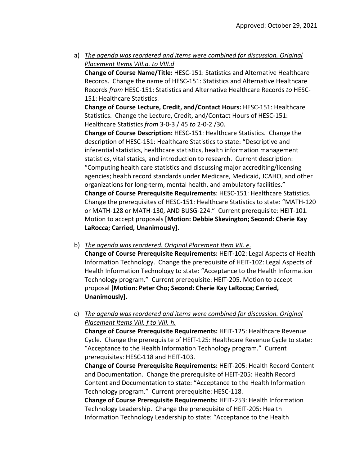a) *The agenda was reordered and items were combined for discussion. Original Placement Items VIII.a. to VIII.d*

**Change of Course Name/Title:** HESC‐151: Statistics and Alternative Healthcare Records. Change the name of HESC‐151: Statistics and Alternative Healthcare Records *from* HESC‐151: Statistics and Alternative Healthcare Records *to* HESC‐ 151: Healthcare Statistics.

**Change of Course Lecture, Credit, and/Contact Hours:** HESC‐151: Healthcare Statistics. Change the Lecture, Credit, and/Contact Hours of HESC‐151: Healthcare Statistics *from* 3‐0‐3 / 45 *to* 2‐0‐2 /30.

**Change of Course Description:** HESC‐151: Healthcare Statistics. Change the description of HESC‐151: Healthcare Statistics to state: "Descriptive and inferential statistics, healthcare statistics, health information management statistics, vital statics, and introduction to research. Current description: "Computing health care statistics and discussing major accrediting/licensing agencies; health record standards under Medicare, Medicaid, JCAHO, and other organizations for long-term, mental health, and ambulatory facilities." **Change of Course Prerequisite Requirements**: HESC‐151: Healthcare Statistics. Change the prerequisites of HESC‐151: Healthcare Statistics to state: "MATH‐120 or MATH‐128 or MATH‐130, AND BUSG‐224." Current prerequisite: HEIT‐101. Motion to accept proposals **[Motion: Debbie Skevington; Second: Cherie Kay LaRocca; Carried, Unanimously].**

b) *The agenda was reordered. Original Placement Item VII. e.* 

**Change of Course Prerequisite Requirements:** HEIT‐102: Legal Aspects of Health Information Technology. Change the prerequisite of HEIT‐102: Legal Aspects of Health Information Technology to state: "Acceptance to the Health Information Technology program." Current prerequisite: HEIT‐205. Motion to accept proposal **[Motion: Peter Cho; Second: Cherie Kay LaRocca; Carried, Unanimously].**

# c) *The agenda was reordered and items were combined for discussion. Original Placement Items VIII. f to VIII. h.*

**Change of Course Prerequisite Requirements:** HEIT‐125: Healthcare Revenue Cycle. Change the prerequisite of HEIT‐125: Healthcare Revenue Cycle to state: "Acceptance to the Health Information Technology program." Current prerequisites: HESC‐118 and HEIT‐103.

**Change of Course Prerequisite Requirements:** HEIT‐205: Health Record Content and Documentation. Change the prerequisite of HEIT‐205: Health Record Content and Documentation to state: "Acceptance to the Health Information Technology program." Current prerequisite: HESC‐118.

**Change of Course Prerequisite Requirements:** HEIT‐253: Health Information Technology Leadership. Change the prerequisite of HEIT‐205: Health Information Technology Leadership to state: "Acceptance to the Health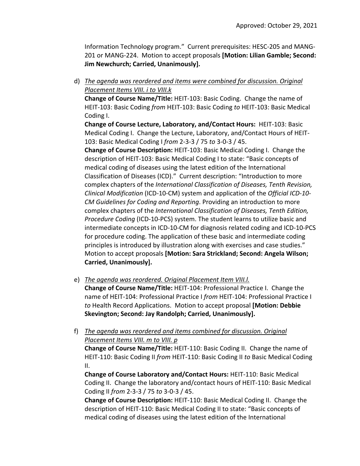Information Technology program." Current prerequisites: HESC‐205 and MANG‐ 201 or MANG‐224. Motion to accept proposals **[Motion: Lilian Gamble; Second: Jim Newchurch; Carried, Unanimously].**

d) *The agenda was reordered and items were combined for discussion. Original Placement Items VIII. i to VIII.k*

**Change of Course Name/Title:** HEIT‐103: Basic Coding. Change the name of HEIT‐103: Basic Coding *from* HEIT‐103: Basic Coding *to* HEIT‐103: Basic Medical Coding I.

**Change of Course Lecture, Laboratory, and/Contact Hours:** HEIT‐103: Basic Medical Coding I. Change the Lecture, Laboratory, and/Contact Hours of HEIT‐ 103: Basic Medical Coding I *from* 2‐3‐3 / 75 *to* 3‐0‐3 / 45.

**Change of Course Description:** HEIT‐103: Basic Medical Coding I. Change the description of HEIT‐103: Basic Medical Coding I to state: "Basic concepts of medical coding of diseases using the latest edition of the International Classification of Diseases (ICD)." Current description: "Introduction to more complex chapters of the *International Classification of Diseases, Tenth Revision, Clinical Modification* (ICD‐10‐CM) system and application of the *Official ICD‐10‐ CM Guidelines for Coding and Reporting*. Providing an introduction to more complex chapters of the *International Classification of Diseases, Tenth Edition, Procedure Coding* (ICD‐10‐PCS) system. The student learns to utilize basic and intermediate concepts in ICD‐10‐CM for diagnosis related coding and ICD‐10‐PCS for procedure coding. The application of these basic and intermediate coding principles is introduced by illustration along with exercises and case studies." Motion to accept proposals **[Motion: Sara Strickland; Second: Angela Wilson; Carried, Unanimously].**

e) *The agenda was reordered. Original Placement Item VIII.l.*

**Change of Course Name/Title:** HEIT‐104: Professional Practice I. Change the name of HEIT‐104: Professional Practice I *from* HEIT‐104: Professional Practice I *to* Health Record Applications. Motion to accept proposal **[Motion: Debbie Skevington; Second: Jay Randolph; Carried, Unanimously].**

f) *The agenda was reordered and items combined for discussion. Original Placement Items VIII. m to VIII. p*

**Change of Course Name/Title:** HEIT‐110: Basic Coding II. Change the name of HEIT‐110: Basic Coding II *from* HEIT‐110: Basic Coding II *to* Basic Medical Coding II.

**Change of Course Laboratory and/Contact Hours:** HEIT‐110: Basic Medical Coding II. Change the laboratory and/contact hours of HEIT‐110: Basic Medical Coding II *from* 2‐3‐3 / 75 *to* 3‐0‐3 / 45.

**Change of Course Description:** HEIT‐110: Basic Medical Coding II. Change the description of HEIT‐110: Basic Medical Coding II to state: "Basic concepts of medical coding of diseases using the latest edition of the International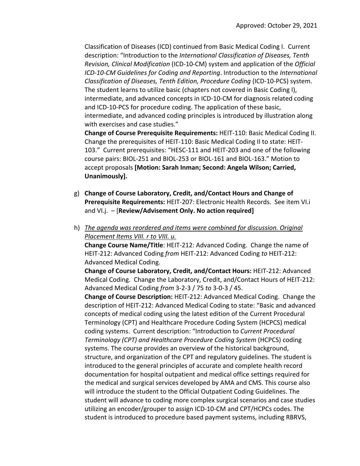Classification of Diseases (ICD) continued from Basic Medical Coding I. Current description: "Introduction to the *International Classification of Diseases, Tenth Revision, Clinical Modification* (ICD‐10‐CM) system and application of the *Official ICD‐10‐CM Guidelines for Coding and Reporting*. Introduction to the *International Classification of Diseases, Tenth Edition, Procedure Coding* (ICD‐10‐PCS) system. The student learns to utilize basic (chapters not covered in Basic Coding I), intermediate, and advanced concepts in ICD‐10‐CM for diagnosis related coding and ICD‐10‐PCS for procedure coding. The application of these basic, intermediate, and advanced coding principles is introduced by illustration along with exercises and case studies."

**Change of Course Prerequisite Requirements:** HEIT‐110: Basic Medical Coding II. Change the prerequisites of HEIT‐110: Basic Medical Coding II to state: HEIT‐ 103." Current prerequisites: "HESC‐111 and HEIT‐203 and one of the following course pairs: BIOL‐251 and BIOL‐253 or BIOL‐161 and BIOL‐163." Motion to accept proposals **[Motion: Sarah Inman; Second: Angela Wilson; Carried, Unanimously].**

- g) **Change of Course Laboratory, Credit, and/Contact Hours and Change of Prerequisite Requirements:** HEIT‐207: Electronic Health Records. See item VI.i and VI.j. – [**Review/Advisement Only. No action required]**
- h) *The agenda was reordered and items were combined for discussion. Original Placement Items VIII. r to VIII. u.*

**Change Course Name/Title**: HEIT‐212: Advanced Coding. Change the name of HEIT‐212: Advanced Coding *from* HEIT‐212: Advanced Coding *to* HEIT‐212: Advanced Medical Coding.

**Change of Course Laboratory, Credit, and/Contact Hours:** HEIT‐212: Advanced Medical Coding. Change the Laboratory, Credit, and/Contact Hours of HEIT‐212: Advanced Medical Coding *from* 3‐2‐3 / 75 *to* 3‐0‐3 / 45.

**Change of Course Description:** HEIT‐212: Advanced Medical Coding. Change the description of HEIT‐212: Advanced Medical Coding to state: "Basic and advanced concepts of medical coding using the latest edition of the Current Procedural Terminology (CPT) and Healthcare Procedure Coding System (HCPCS) medical coding systems. Current description: "Introduction to *Current Procedural Terminology (CPT) and Healthcare Procedure Coding System* (HCPCS) coding systems. The course provides an overview of the historical background, structure, and organization of the CPT and regulatory guidelines. The student is introduced to the general principles of accurate and complete health record documentation for hospital outpatient and medical office settings required for the medical and surgical services developed by AMA and CMS. This course also will introduce the student to the Official Outpatient Coding Guidelines. The student will advance to coding more complex surgical scenarios and case studies utilizing an encoder/grouper to assign ICD‐10‐CM and CPT/HCPCs codes. The student is introduced to procedure based payment systems, including RBRVS,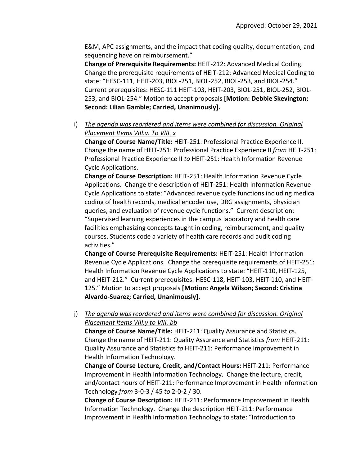E&M, APC assignments, and the impact that coding quality, documentation, and sequencing have on reimbursement."

**Change of Prerequisite Requirements:** HEIT‐212: Advanced Medical Coding. Change the prerequisite requirements of HEIT‐212: Advanced Medical Coding to state: "HESC‐111, HEIT‐203, BIOL‐251, BIOL‐252, BIOL‐253, and BIOL‐254." Current prerequisites: HESC‐111 HEIT‐103, HEIT‐203, BIOL‐251, BIOL‐252, BIOL‐ 253, and BIOL‐254." Motion to accept proposals **[Motion: Debbie Skevington; Second: Lilian Gamble; Carried, Unanimously].**

i) *The agenda was reordered and items were combined for discussion. Original Placement Items VIII.v. To VIII. x*

**Change of Course Name/Title:** HEIT‐251: Professional Practice Experience II. Change the name of HEIT‐251: Professional Practice Experience II *from* HEIT‐251: Professional Practice Experience II *to* HEIT‐251: Health Information Revenue Cycle Applications.

**Change of Course Description:** HEIT‐251: Health Information Revenue Cycle Applications. Change the description of HEIT‐251: Health Information Revenue Cycle Applications to state: "Advanced revenue cycle functions including medical coding of health records, medical encoder use, DRG assignments, physician queries, and evaluation of revenue cycle functions." Current description: "Supervised learning experiences in the campus laboratory and health care facilities emphasizing concepts taught in coding, reimbursement, and quality courses. Students code a variety of health care records and audit coding activities."

**Change of Course Prerequisite Requirements:** HEIT‐251: Health Information Revenue Cycle Applications. Change the prerequisite requirements of HEIT‐251: Health Information Revenue Cycle Applications to state: "HEIT‐110, HEIT‐125, and HEIT‐212." Current prerequisites: HESC‐118, HEIT‐103, HEIT‐110, and HEIT‐ 125." Motion to accept proposals **[Motion: Angela Wilson; Second: Cristina Alvardo‐Suarez; Carried, Unanimously].**

# j) *The agenda was reordered and items were combined for discussion. Original Placement Items VIII.y to VIII. bb*

**Change of Course Name/Title:** HEIT‐211: Quality Assurance and Statistics. Change the name of HEIT‐211: Quality Assurance and Statistics *from* HEIT‐211: Quality Assurance and Statistics *to* HEIT‐211: Performance Improvement in Health Information Technology.

**Change of Course Lecture, Credit, and/Contact Hours:** HEIT‐211: Performance Improvement in Health Information Technology. Change the lecture, credit, and/contact hours of HEIT‐211: Performance Improvement in Health Information Technology *from* 3‐0‐3 / 45 *to* 2‐0‐2 / 30.

**Change of Course Description:** HEIT‐211: Performance Improvement in Health Information Technology. Change the description HEIT‐211: Performance Improvement in Health Information Technology to state: "Introduction to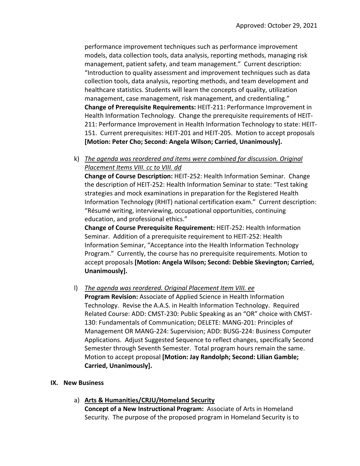performance improvement techniques such as performance improvement models, data collection tools, data analysis, reporting methods, managing risk management, patient safety, and team management." Current description: "Introduction to quality assessment and improvement techniques such as data collection tools, data analysis, reporting methods, and team development and healthcare statistics. Students will learn the concepts of quality, utilization management, case management, risk management, and credentialing." **Change of Prerequisite Requirements:** HEIT‐211: Performance Improvement in Health Information Technology. Change the prerequisite requirements of HEIT‐ 211: Performance Improvement in Health Information Technology to state: HEIT‐ 151. Current prerequisites: HEIT‐201 and HEIT‐205. Motion to accept proposals **[Motion: Peter Cho; Second: Angela Wilson; Carried, Unanimously].**

k) *The agenda was reordered and items were combined for discussion. Original Placement Items VIII. cc to VIII. dd*

**Change of Course Description:** HEIT‐252: Health Information Seminar. Change the description of HEIT‐252: Health Information Seminar to state: "Test taking strategies and mock examinations in preparation for the Registered Health Information Technology (RHIT) national certification exam." Current description: "Résumé writing, interviewing, occupational opportunities, continuing education, and professional ethics."

**Change of Course Prerequisite Requirement:** HEIT‐252: Health Information Seminar. Addition of a prerequisite requirement to HEIT‐252: Health Information Seminar, "Acceptance into the Health Information Technology Program." Currently, the course has no prerequisite requirements. Motion to accept proposals **[Motion: Angela Wilson; Second: Debbie Skevington; Carried, Unanimously].**

l) *The agenda was reordered. Original Placement Item VIII. ee*

**Program Revision:** Associate of Applied Science in Health Information Technology. Revise the A.A.S. in Health Information Technology. Required Related Course: ADD: CMST‐230: Public Speaking as an "OR" choice with CMST‐ 130: Fundamentals of Communication; DELETE: MANG‐201: Principles of Management OR MANG‐224: Supervision; ADD: BUSG‐224: Business Computer Applications. Adjust Suggested Sequence to reflect changes, specifically Second Semester through Seventh Semester. Total program hours remain the same. Motion to accept proposal **[Motion: Jay Randolph; Second: Lilian Gamble; Carried, Unanimously].**

### **IX. New Business**

a) **Arts & Humanities/CRJU/Homeland Security**

**Concept of a New Instructional Program:** Associate of Arts in Homeland Security. The purpose of the proposed program in Homeland Security is to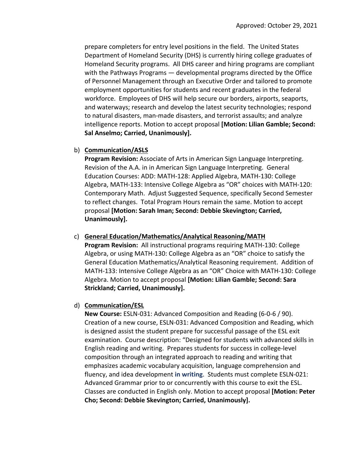prepare completers for entry level positions in the field. The United States Department of Homeland Security (DHS) is currently hiring college graduates of Homeland Security programs. All DHS career and hiring programs are compliant with the Pathways Programs — developmental programs directed by the Office of Personnel Management through an Executive Order and tailored to promote employment opportunities for students and recent graduates in the federal workforce. Employees of DHS will help secure our borders, airports, seaports, and waterways; research and develop the latest security technologies; respond to natural disasters, man‐made disasters, and terrorist assaults; and analyze intelligence reports. Motion to accept proposal **[Motion: Lilian Gamble; Second: Sal Anselmo; Carried, Unanimously].**

#### b) **Communication/ASLS**

**Program Revision:** Associate of Arts in American Sign Language Interpreting. Revision of the A.A. in in American Sign Language Interpreting. General Education Courses: ADD: MATH‐128: Applied Algebra, MATH‐130: College Algebra, MATH‐133: Intensive College Algebra as "OR" choices with MATH‐120: Contemporary Math. Adjust Suggested Sequence, specifically Second Semester to reflect changes. Total Program Hours remain the same. Motion to accept proposal **[Motion: Sarah Iman; Second: Debbie Skevington; Carried, Unanimously].**

#### c) **General Education/Mathematics/Analytical Reasoning/MATH**

**Program Revision:** All instructional programs requiring MATH‐130: College Algebra, or using MATH‐130: College Algebra as an "OR" choice to satisfy the General Education Mathematics/Analytical Reasoning requirement. Addition of MATH‐133: Intensive College Algebra as an "OR" Choice with MATH‐130: College Algebra. Motion to accept proposal **[Motion: Lilian Gamble; Second: Sara Strickland; Carried, Unanimously].**

#### d) **Communication/ESL**

**New Course:** ESLN‐031: Advanced Composition and Reading (6‐0‐6 / 90). Creation of a new course, ESLN‐031: Advanced Composition and Reading, which is designed assist the student prepare for successful passage of the ESL exit examination. Course description: "Designed for students with advanced skills in English reading and writing. Prepares students for success in college‐level composition through an integrated approach to reading and writing that emphasizes academic vocabulary acquisition, language comprehension and fluency, and idea development **in writing**. Students must complete ESLN‐021: Advanced Grammar prior to or concurrently with this course to exit the ESL. Classes are conducted in English only. Motion to accept proposal **[Motion: Peter Cho; Second: Debbie Skevington; Carried, Unanimously].**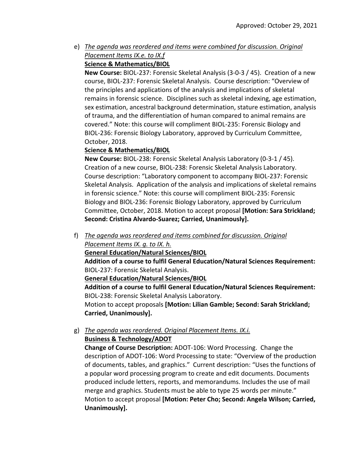e) *The agenda was reordered and items were combined for discussion. Original Placement Items IX.e. to IX.f*  **Science & Mathematics/BIOL**

**New Course:** BIOL‐237: Forensic Skeletal Analysis (3‐0‐3 / 45). Creation of a new course, BIOL‐237: Forensic Skeletal Analysis. Course description: "Overview of the principles and applications of the analysis and implications of skeletal remains in forensic science. Disciplines such as skeletal indexing, age estimation, sex estimation, ancestral background determination, stature estimation, analysis of trauma, and the differentiation of human compared to animal remains are covered." Note: this course will compliment BIOL‐235: Forensic Biology and BIOL‐236: Forensic Biology Laboratory, approved by Curriculum Committee, October, 2018.

### **Science & Mathematics/BIOL**

**New Course:** BIOL‐238: Forensic Skeletal Analysis Laboratory (0‐3‐1 / 45). Creation of a new course, BIOL‐238: Forensic Skeletal Analysis Laboratory. Course description: "Laboratory component to accompany BIOL‐237: Forensic Skeletal Analysis. Application of the analysis and implications of skeletal remains in forensic science." Note: this course will compliment BIOL‐235: Forensic Biology and BIOL‐236: Forensic Biology Laboratory, approved by Curriculum Committee, October, 2018. Motion to accept proposal **[Motion: Sara Strickland; Second: Cristina Alvardo‐Suarez; Carried, Unanimously].**

f) *The agenda was reordered and items combined for discussion. Original Placement Items IX. g. to IX. h.*

**General Education/Natural Sciences/BIOL**

**Addition of a course to fulfil General Education/Natural Sciences Requirement:** BIOL‐237: Forensic Skeletal Analysis.

**General Education/Natural Sciences/BIOL**

**Addition of a course to fulfil General Education/Natural Sciences Requirement:** BIOL‐238: Forensic Skeletal Analysis Laboratory.

Motion to accept proposals **[Motion: Lilian Gamble; Second: Sarah Strickland; Carried, Unanimously].**

### g) *The agenda was reordered. Original Placement Items. IX.i.* **Business & Technology/ADOT**

**Change of Course Description:** ADOT‐106: Word Processing. Change the description of ADOT‐106: Word Processing to state: "Overview of the production of documents, tables, and graphics." Current description: "Uses the functions of a popular word processing program to create and edit documents. Documents produced include letters, reports, and memorandums. Includes the use of mail merge and graphics. Students must be able to type 25 words per minute." Motion to accept proposal **[Motion: Peter Cho; Second: Angela Wilson; Carried, Unanimously].**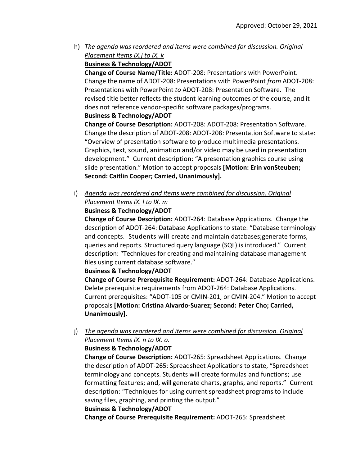h) *The agenda was reordered and items were combined for discussion. Original Placement Items IX.j to IX. k* **Business & Technology/ADOT**

**Change of Course Name/Title:** ADOT‐208: Presentations with PowerPoint. Change the name of ADOT‐208: Presentations with PowerPoint *from* ADOT‐208: Presentations with PowerPoint *to* ADOT‐208: Presentation Software. The revised title better reflects the student learning outcomes of the course, and it does not reference vendor‐specific software packages/programs.

**Business & Technology/ADOT**

**Change of Course Description:** ADOT‐208: ADOT‐208: Presentation Software. Change the description of ADOT‐208: ADOT‐208: Presentation Software to state: "Overview of presentation software to produce multimedia presentations. Graphics, text, sound, animation and/or video may be used in presentation development." Current description: "A presentation graphics course using slide presentation." Motion to accept proposals **[Motion: Erin vonSteuben; Second: Caitlin Cooper; Carried, Unanimously].**

i) *Agenda was reordered and items were combined for discussion. Original Placement Items IX. l to IX. m*

**Business & Technology/ADOT**

**Change of Course Description:** ADOT‐264: Database Applications. Change the description of ADOT‐264: Database Applications to state: "Database terminology and concepts. Students will create and maintain databases;generate forms, queries and reports. Structured query language (SQL) is introduced." Current description: "Techniques for creating and maintaining database management files using current database software."

**Business & Technology/ADOT**

**Change of Course Prerequisite Requirement:** ADOT‐264: Database Applications. Delete prerequisite requirements from ADOT‐264: Database Applications. Current prerequisites: "ADOT‐105 or CMIN‐201, or CMIN‐204." Motion to accept proposals **[Motion: Cristina Alvardo‐Suarez; Second: Peter Cho; Carried, Unanimously].**

j) *The agenda was reordered and items were combined for discussion. Original Placement Items IX. n to IX. o.* 

# **Business & Technology/ADOT**

**Change of Course Description:** ADOT‐265: Spreadsheet Applications. Change the description of ADOT‐265: Spreadsheet Applications to state, "Spreadsheet terminology and concepts. Students will create formulas and functions; use formatting features; and, will generate charts, graphs, and reports." Current description: "Techniques for using current spreadsheet programs to include saving files, graphing, and printing the output."

# **Business & Technology/ADOT**

**Change of Course Prerequisite Requirement:** ADOT‐265: Spreadsheet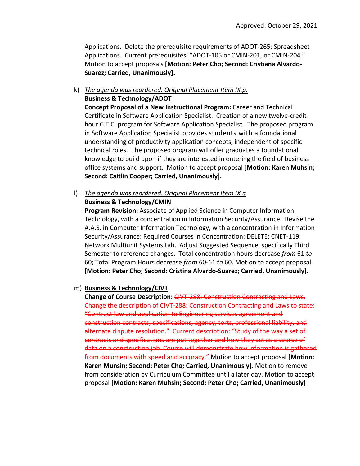Applications. Delete the prerequisite requirements of ADOT‐265: Spreadsheet Applications. Current prerequisites: "ADOT‐105 or CMIN‐201, or CMIN‐204." Motion to accept proposals **[Motion: Peter Cho; Second: Cristiana Alvardo‐ Suarez; Carried, Unanimously].**

### k) *The agenda was reordered. Original Placement Item IX.p.* **Business & Technology/ADOT**

**Concept Proposal of a New Instructional Program:** Career and Technical Certificate in Software Application Specialist. Creation of a new twelve‐credit hour C.T.C. program for Software Application Specialist. The proposed program in Software Application Specialist provides students with a foundational understanding of productivity application concepts, independent of specific technical roles. The proposed program will offer graduates a foundational knowledge to build upon if they are interested in entering the field of business office systems and support. Motion to accept proposal **[Motion: Karen Muhsin; Second: Caitlin Cooper; Carried, Unanimously].**

# l) *The agenda was reordered. Original Placement Item IX.q*

#### **Business & Technology/CMIN**

**Program Revision:** Associate of Applied Science in Computer Information Technology, with a concentration in Information Security/Assurance. Revise the A.A.S. in Computer Information Technology, with a concentration in Information Security/Assurance: Required Courses in Concentration: DELETE: CNET‐119: Network Multiunit Systems Lab. Adjust Suggested Sequence, specifically Third Semester to reference changes. Total concentration hours decrease *from* 61 *to* 60; Total Program Hours decrease *from* 60‐61 *to* 60. Motion to accept proposal **[Motion: Peter Cho; Second: Cristina Alvardo‐Suarez; Carried, Unanimously].**

### m) **Business & Technology/CIVT**

**Change of Course Description:** CIVT‐288: Construction Contracting and Laws. Change the description of CIVT‐288: Construction Contracting and Laws to state: "Contract law and application to Engineering services agreement and construction contracts; specifications, agency, torts, professional liability, and alternate dispute resolution." Current description: "Study of the way a set of contracts and specifications are put together and how they act as a source of data on a construction job. Course will demonstrate how information is gathered from documents with speed and accuracy." Motion to accept proposal **[Motion: Karen Munsin; Second: Peter Cho; Carried, Unanimously].** Motion to remove from consideration by Curriculum Committee until a later day. Motion to accept proposal **[Motion: Karen Muhsin; Second: Peter Cho; Carried, Unanimously]**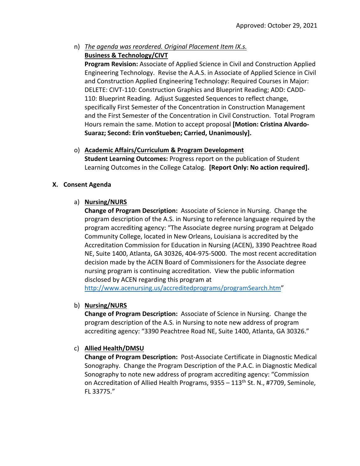n) *The agenda was reordered. Original Placement Item IX.s.*  **Business & Technology/CIVT**

**Program Revision:** Associate of Applied Science in Civil and Construction Applied Engineering Technology. Revise the A.A.S. in Associate of Applied Science in Civil and Construction Applied Engineering Technology: Required Courses in Major: DELETE: CIVT‐110: Construction Graphics and Blueprint Reading; ADD: CADD‐ 110: Blueprint Reading. Adjust Suggested Sequences to reflect change, specifically First Semester of the Concentration in Construction Management and the First Semester of the Concentration in Civil Construction. Total Program Hours remain the same. Motion to accept proposal **[Motion: Cristina Alvardo‐ Suaraz; Second: Erin vonStueben; Carried, Unanimously].**

o) **Academic Affairs/Curriculum & Program Development Student Learning Outcomes:** Progress report on the publication of Student Learning Outcomes in the College Catalog. **[Report Only: No action required].**

### **X. Consent Agenda**

### a) **Nursing/NURS**

**Change of Program Description:** Associate of Science in Nursing. Change the program description of the A.S. in Nursing to reference language required by the program accrediting agency: "The Associate degree nursing program at Delgado Community College, located in New Orleans, Louisiana is accredited by the Accreditation Commission for Education in Nursing (ACEN), 3390 Peachtree Road NE, Suite 1400, Atlanta, GA 30326, 404‐975‐5000. The most recent accreditation decision made by the ACEN Board of Commissioners for the Associate degree nursing program is continuing accreditation. View the public information disclosed by ACEN regarding this program at

http://www.acenursing.us/accreditedprograms/programSearch.htm"

# b) **Nursing/NURS**

**Change of Program Description:** Associate of Science in Nursing. Change the program description of the A.S. in Nursing to note new address of program accrediting agency: "3390 Peachtree Road NE, Suite 1400, Atlanta, GA 30326."

# c) **Allied Health/DMSU**

**Change of Program Description:** Post‐Associate Certificate in Diagnostic Medical Sonography. Change the Program Description of the P.A.C. in Diagnostic Medical Sonography to note new address of program accrediting agency: "Commission on Accreditation of Allied Health Programs,  $9355 - 113$ <sup>th</sup> St. N., #7709, Seminole, FL 33775."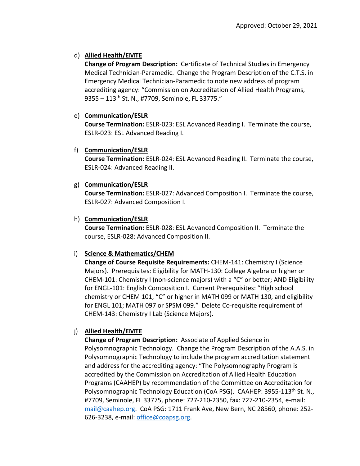# d) **Allied Health/EMTE**

**Change of Program Description:** Certificate of Technical Studies in Emergency Medical Technician‐Paramedic. Change the Program Description of the C.T.S. in Emergency Medical Technician‐Paramedic to note new address of program accrediting agency: "Commission on Accreditation of Allied Health Programs, 9355 – 113th St. N., #7709, Seminole, FL 33775."

# e) **Communication/ESLR**

**Course Termination:** ESLR‐023: ESL Advanced Reading I. Terminate the course, ESLR‐023: ESL Advanced Reading I.

# f) **Communication/ESLR**

**Course Termination:** ESLR‐024: ESL Advanced Reading II. Terminate the course, ESLR‐024: Advanced Reading II.

# g) **Communication/ESLR**

**Course Termination:** ESLR‐027: Advanced Composition I. Terminate the course, ESLR‐027: Advanced Composition I.

# h) **Communication/ESLR**

**Course Termination:** ESLR‐028: ESL Advanced Composition II. Terminate the course, ESLR‐028: Advanced Composition II.

# i) **Science & Mathematics/CHEM**

**Change of Course Requisite Requirements:** CHEM‐141: Chemistry I (Science Majors). Prerequisites: Eligibility for MATH‐130: College Algebra or higher or CHEM‐101: Chemistry I (non‐science majors) with a "C" or better; AND Eligibility for ENGL‐101: English Composition I. Current Prerequisites: "High school chemistry or CHEM 101, "C" or higher in MATH 099 or MATH 130, and eligibility for ENGL 101; MATH 097 or SPSM 099." Delete Co‐requisite requirement of CHEM‐143: Chemistry I Lab (Science Majors).

# j) **Allied Health/EMTE**

**Change of Program Description:** Associate of Applied Science in Polysomnographic Technology. Change the Program Description of the A.A.S. in Polysomnographic Technology to include the program accreditation statement and address for the accrediting agency: "The Polysomnography Program is accredited by the Commission on Accreditation of Allied Health Education Programs (CAAHEP) by recommendation of the Committee on Accreditation for Polysomnographic Technology Education (CoA PSG). CAAHEP: 3955-113<sup>th</sup> St. N., #7709, Seminole, FL 33775, phone: 727‐210‐2350, fax: 727‐210‐2354, e‐mail: mail@caahep.org. CoA PSG: 1711 Frank Ave, New Bern, NC 28560, phone: 252‐ 626‐3238, e‐mail: office@coapsg.org.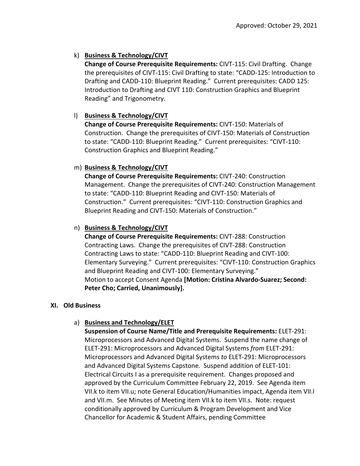# k) **Business & Technology/CIVT**

**Change of Course Prerequisite Requirements:** CIVT‐115: Civil Drafting. Change the prerequisites of CIVT‐115: Civil Drafting to state: "CADD‐125: Introduction to Drafting and CADD-110: Blueprint Reading." Current prerequisites: CADD 125: Introduction to Drafting and CIVT 110: Construction Graphics and Blueprint Reading" and Trigonometry.

# l) **Business & Technology/CIVT**

**Change of Course Prerequisite Requirements:** CIVT‐150: Materials of Construction. Change the prerequisites of CIVT‐150: Materials of Construction to state: "CADD‐110: Blueprint Reading." Current prerequisites: "CIVT‐110: Construction Graphics and Blueprint Reading."

# m) **Business & Technology/CIVT**

**Change of Course Prerequisite Requirements:** CIVT‐240: Construction Management. Change the prerequisites of CIVT‐240: Construction Management to state: "CADD‐110: Blueprint Reading and CIVT‐150: Materials of Construction." Current prerequisites: "CIVT‐110: Construction Graphics and Blueprint Reading and CIVT‐150: Materials of Construction."

# n) **Business & Technology/CIVT**

**Change of Course Prerequisite Requirements:** CIVT‐288: Construction Contracting Laws. Change the prerequisites of CIVT‐288: Construction Contracting Laws to state: "CADD‐110: Blueprint Reading and CIVT‐100: Elementary Surveying." Current prerequisites: "CIVT‐110: Construction Graphics and Blueprint Reading and CIVT‐100: Elementary Surveying." Motion to accept Consent Agenda **[Motion: Cristina Alvardo‐Suarez; Second: Peter Cho; Carried, Unanimously].**

# **XI. Old Business**

# a) **Business and Technology/ELET**

**Suspension of Course Name/Title and Prerequisite Requirements:** ELET‐291: Microprocessors and Advanced Digital Systems. Suspend the name change of ELET‐291: Microprocessors and Advanced Digital Systems *from* ELET‐291: Microprocessors and Advanced Digital Systems *to* ELET‐291: Microprocessors and Advanced Digital Systems Capstone. Suspend addition of ELET‐101: Electrical Circuits I as a prerequisite requirement. Changes proposed and approved by the Curriculum Committee February 22, 2019. See Agenda item VII.k to item VII.u; note General Education/Humanities impact, Agenda item VII.l and VII.m. See Minutes of Meeting item VII.k to item VII.s. Note: request conditionally approved by Curriculum & Program Development and Vice Chancellor for Academic & Student Affairs, pending Committee